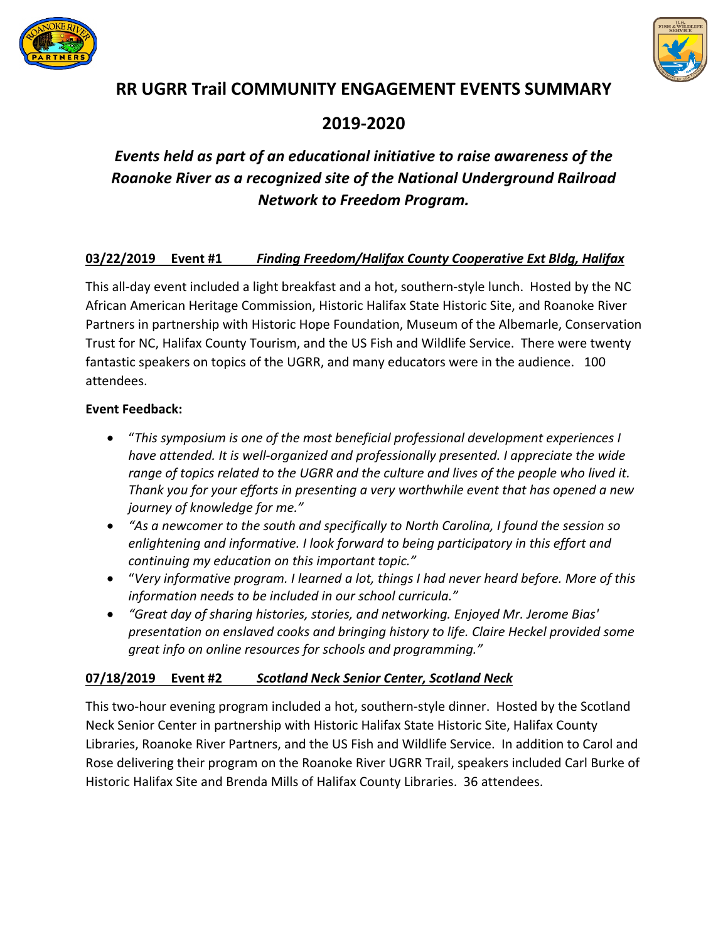



# **RR UGRR Trail COMMUNITY ENGAGEMENT EVENTS SUMMARY**

# **2019-2020**

# *Events held as part of an educational initiative to raise awareness of the Roanoke River as a recognized site of the National Underground Railroad Network to Freedom Program.*

# **03/22/2019 Event #1** *Finding Freedom/Halifax County Cooperative Ext Bldg, Halifax*

This all-day event included a light breakfast and a hot, southern-style lunch. Hosted by the NC African American Heritage Commission, Historic Halifax State Historic Site, and Roanoke River Partners in partnership with Historic Hope Foundation, Museum of the Albemarle, Conservation Trust for NC, Halifax County Tourism, and the US Fish and Wildlife Service. There were twenty fantastic speakers on topics of the UGRR, and many educators were in the audience. 100 attendees.

#### **Event Feedback:**

- "*This symposium is one of the most beneficial professional development experiences I have attended. It is well-organized and professionally presented. I appreciate the wide range of topics related to the UGRR and the culture and lives of the people who lived it. Thank you for your efforts in presenting a very worthwhile event that has opened a new journey of knowledge for me."*
- *"As a newcomer to the south and specifically to North Carolina, I found the session so enlightening and informative. I look forward to being participatory in this effort and continuing my education on this important topic."*
- "*Very informative program. I learned a lot, things I had never heard before. More of this information needs to be included in our school curricula."*
- *"Great day of sharing histories, stories, and networking. Enjoyed Mr. Jerome Bias' presentation on enslaved cooks and bringing history to life. Claire Heckel provided some great info on online resources for schools and programming."*

### **07/18/2019 Event #2** *Scotland Neck Senior Center, Scotland Neck*

This two-hour evening program included a hot, southern-style dinner. Hosted by the Scotland Neck Senior Center in partnership with Historic Halifax State Historic Site, Halifax County Libraries, Roanoke River Partners, and the US Fish and Wildlife Service. In addition to Carol and Rose delivering their program on the Roanoke River UGRR Trail, speakers included Carl Burke of Historic Halifax Site and Brenda Mills of Halifax County Libraries. 36 attendees.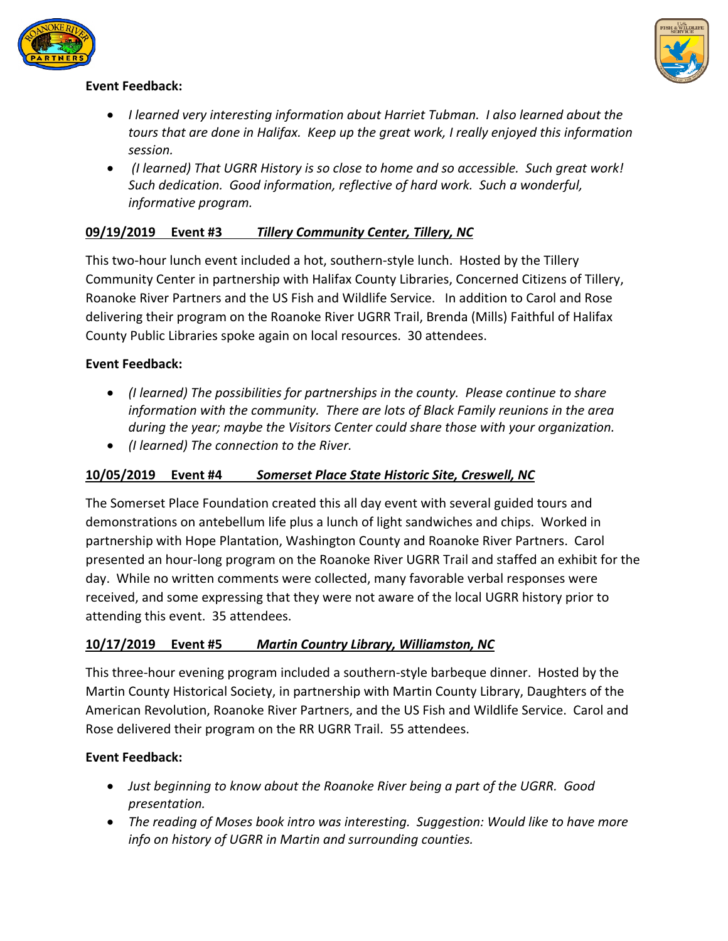



### **Event Feedback:**

- *I learned very interesting information about Harriet Tubman. I also learned about the tours that are done in Halifax. Keep up the great work, I really enjoyed this information session.*
- *(I learned) That UGRR History is so close to home and so accessible. Such great work! Such dedication. Good information, reflective of hard work. Such a wonderful, informative program.*

### **09/19/2019 Event #3** *Tillery Community Center, Tillery, NC*

This two-hour lunch event included a hot, southern-style lunch. Hosted by the Tillery Community Center in partnership with Halifax County Libraries, Concerned Citizens of Tillery, Roanoke River Partners and the US Fish and Wildlife Service. In addition to Carol and Rose delivering their program on the Roanoke River UGRR Trail, Brenda (Mills) Faithful of Halifax County Public Libraries spoke again on local resources. 30 attendees.

#### **Event Feedback:**

- *(I learned) The possibilities for partnerships in the county. Please continue to share information with the community. There are lots of Black Family reunions in the area during the year; maybe the Visitors Center could share those with your organization.*
- *(I learned) The connection to the River.*

#### **10/05/2019 Event #4** *Somerset Place State Historic Site, Creswell, NC*

The Somerset Place Foundation created this all day event with several guided tours and demonstrations on antebellum life plus a lunch of light sandwiches and chips. Worked in partnership with Hope Plantation, Washington County and Roanoke River Partners. Carol presented an hour-long program on the Roanoke River UGRR Trail and staffed an exhibit for the day. While no written comments were collected, many favorable verbal responses were received, and some expressing that they were not aware of the local UGRR history prior to attending this event. 35 attendees.

#### **10/17/2019 Event #5** *Martin Country Library, Williamston, NC*

This three-hour evening program included a southern-style barbeque dinner. Hosted by the Martin County Historical Society, in partnership with Martin County Library, Daughters of the American Revolution, Roanoke River Partners, and the US Fish and Wildlife Service. Carol and Rose delivered their program on the RR UGRR Trail. 55 attendees.

#### **Event Feedback:**

- *Just beginning to know about the Roanoke River being a part of the UGRR. Good presentation.*
- *The reading of Moses book intro was interesting. Suggestion: Would like to have more info on history of UGRR in Martin and surrounding counties.*